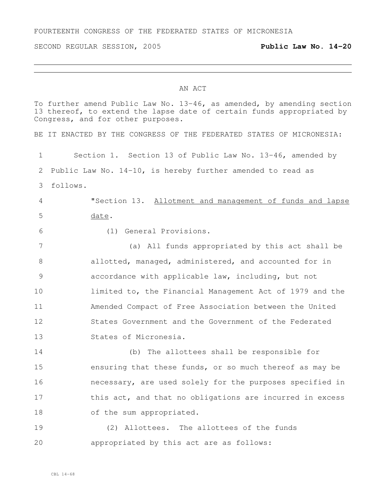FOURTEENTH CONGRESS OF THE FEDERATED STATES OF MICRONESIA

SECOND REGULAR SESSION, 2005 **Public Law No. 14-20**

## AN ACT

To further amend Public Law No. 13-46, as amended, by amending section 13 thereof, to extend the lapse date of certain funds appropriated by Congress, and for other purposes. BE IT ENACTED BY THE CONGRESS OF THE FEDERATED STATES OF MICRONESIA: Section 1. Section 13 of Public Law No. 13-46, amended by Public Law No. 14-10, is hereby further amended to read as follows. "Section 13. Allotment and management of funds and lapse date. (1) General Provisions. (a) All funds appropriated by this act shall be 8 allotted, managed, administered, and accounted for in accordance with applicable law, including, but not limited to, the Financial Management Act of 1979 and the Amended Compact of Free Association between the United States Government and the Government of the Federated States of Micronesia. (b) The allottees shall be responsible for ensuring that these funds, or so much thereof as may be necessary, are used solely for the purposes specified in 17 this act, and that no obligations are incurred in excess 18 of the sum appropriated. (2) Allottees. The allottees of the funds

appropriated by this act are as follows: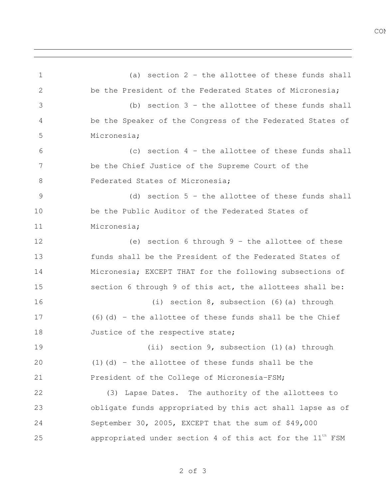(a) section 2 - the allottee of these funds shall

CON<sub>s</sub>

 be the President of the Federated States of Micronesia; (b) section 3 - the allottee of these funds shall be the Speaker of the Congress of the Federated States of Micronesia; (c) section 4 - the allottee of these funds shall be the Chief Justice of the Supreme Court of the 8 Federated States of Micronesia: (d) section 5 - the allottee of these funds shall be the Public Auditor of the Federated States of Micronesia; (e) section 6 through 9 - the allottee of these funds shall be the President of the Federated States of Micronesia; EXCEPT THAT for the following subsections of section 6 through 9 of this act, the allottees shall be: (i) section 8, subsection (6)(a) through (6)(d) - the allottee of these funds shall be the Chief 18 Justice of the respective state; (ii) section 9, subsection (1)(a) through (1)(d) - the allottee of these funds shall be the President of the College of Micronesia-FSM; (3) Lapse Dates. The authority of the allottees to obligate funds appropriated by this act shall lapse as of September 30, 2005, EXCEPT that the sum of \$49,000  $\hbox{approx}$  appropriated under section 4 of this act for the  $11^{\hbox{\scriptsize th}}$  FSM

of 3